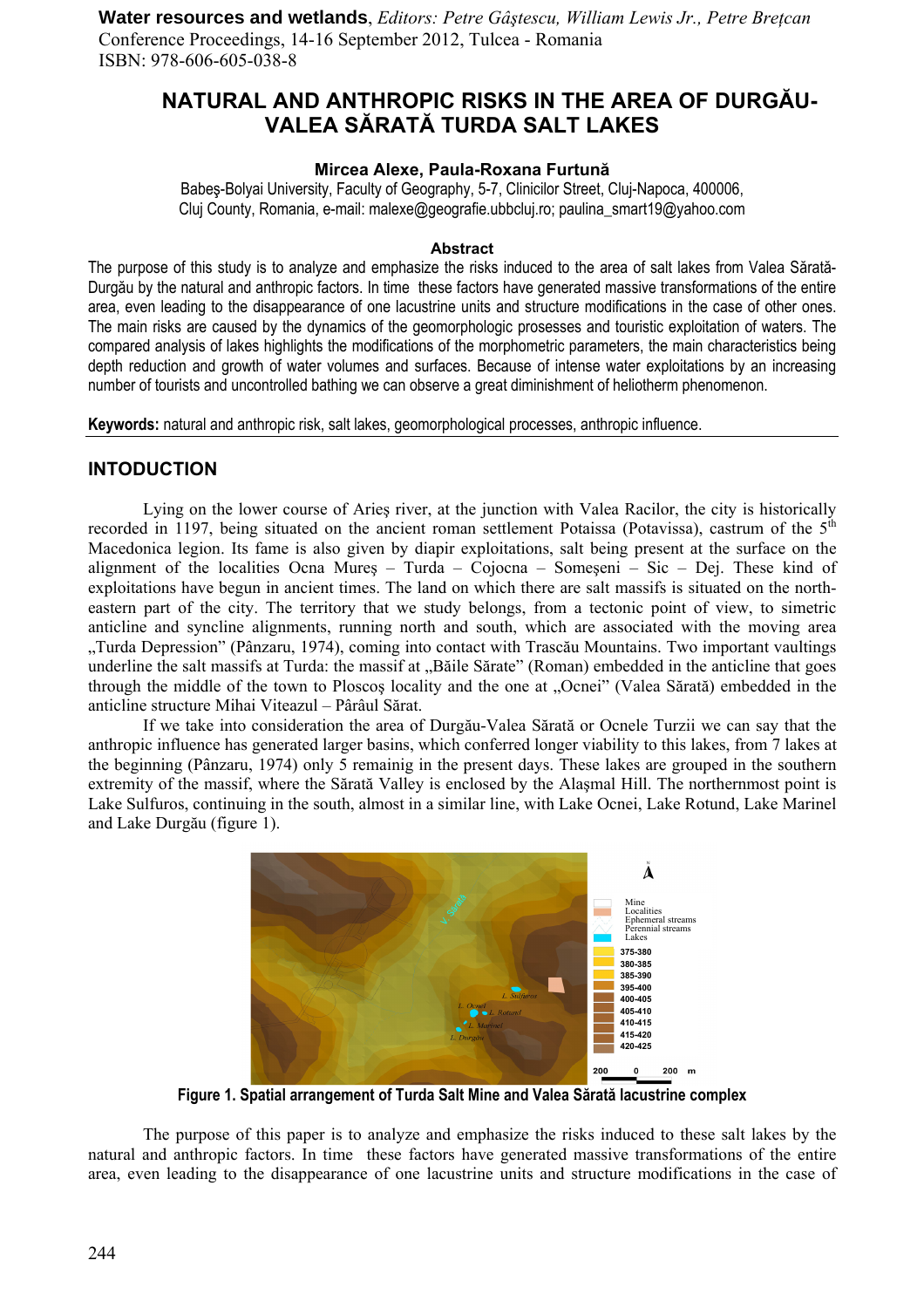**Water resources and wetlands**, *Editors: Petre Gâştescu, William Lewis Jr., Petre Breţcan*  Conference Proceedings, 14-16 September 2012, Tulcea - Romania ISBN: 978-606-605-038-8

# **NATURAL AND ANTHROPIC RISKS IN THE AREA OF DURGĂU-VALEA SĂRATĂ TURDA SALT LAKES**

#### **Mircea Alexe, Paula-Roxana Furtună**

Babeş-Bolyai University, Faculty of Geography, 5-7, Clinicilor Street, Cluj-Napoca, 400006, Cluj County, Romania, e-mail: malexe@geografie.ubbcluj.ro; paulina\_smart19@yahoo.com

#### **Abstract**

The purpose of this study is to analyze and emphasize the risks induced to the area of salt lakes from Valea Sărată-Durgău by the natural and anthropic factors. In time these factors have generated massive transformations of the entire area, even leading to the disappearance of one lacustrine units and structure modifications in the case of other ones. The main risks are caused by the dynamics of the geomorphologic prosesses and touristic exploitation of waters. The compared analysis of lakes highlights the modifications of the morphometric parameters, the main characteristics being depth reduction and growth of water volumes and surfaces. Because of intense water exploitations by an increasing number of tourists and uncontrolled bathing we can observe a great diminishment of heliotherm phenomenon.

**Keywords:** natural and anthropic risk, salt lakes, geomorphological processes, anthropic influence.

## **INTODUCTION**

Lying on the lower course of Arieş river, at the junction with Valea Racilor, the city is historically recorded in 1197, being situated on the ancient roman settlement Potaissa (Potavissa), castrum of the  $5<sup>th</sup>$ Macedonica legion. Its fame is also given by diapir exploitations, salt being present at the surface on the alignment of the localities Ocna Mureş – Turda – Cojocna – Someşeni – Sic – Dej. These kind of exploitations have begun in ancient times. The land on which there are salt massifs is situated on the northeastern part of the city. The territory that we study belongs, from a tectonic point of view, to simetric anticline and syncline alignments, running north and south, which are associated with the moving area "Turda Depression" (Pânzaru, 1974), coming into contact with Trascău Mountains. Two important vaultings underline the salt massifs at Turda: the massif at "Băile Sărate" (Roman) embedded in the anticline that goes through the middle of the town to Ploscos locality and the one at "Ocnei" (Valea Sărată) embedded in the anticline structure Mihai Viteazul – Pârâul Sărat.

 If we take into consideration the area of Durgău-Valea Sărată or Ocnele Turzii we can say that the anthropic influence has generated larger basins, which conferred longer viability to this lakes, from 7 lakes at the beginning (Pânzaru, 1974) only 5 remainig in the present days. These lakes are grouped in the southern extremity of the massif, where the Sărată Valley is enclosed by the Alaşmal Hill. The northernmost point is Lake Sulfuros, continuing in the south, almost in a similar line, with Lake Ocnei, Lake Rotund, Lake Marinel and Lake Durgău (figure 1).



**Figure 1. Spatial arrangement of Turda Salt Mine and Valea Sărată lacustrine complex** 

 The purpose of this paper is to analyze and emphasize the risks induced to these salt lakes by the natural and anthropic factors. In time these factors have generated massive transformations of the entire area, even leading to the disappearance of one lacustrine units and structure modifications in the case of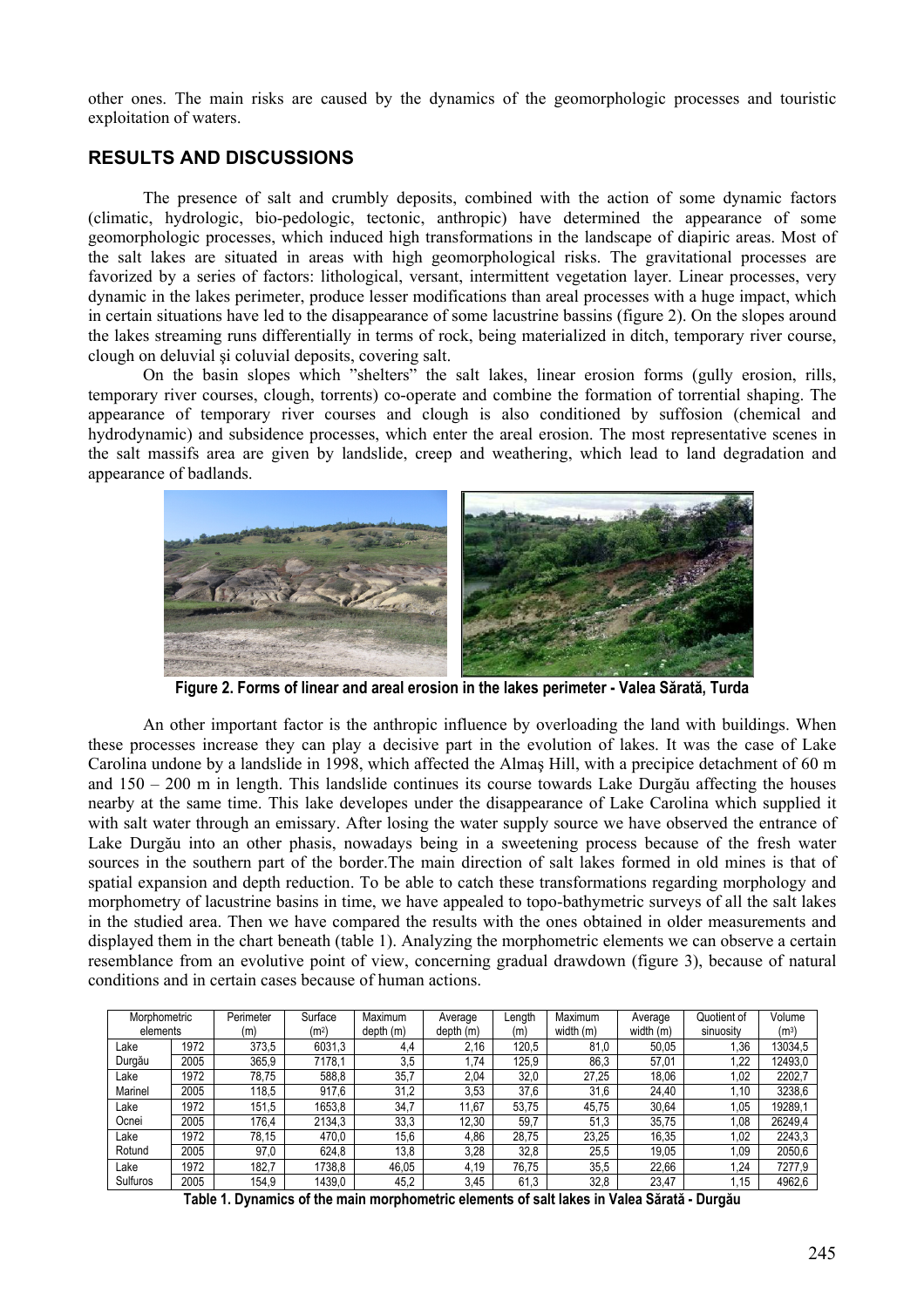other ones. The main risks are caused by the dynamics of the geomorphologic processes and touristic exploitation of waters.

## **RESULTS AND DISCUSSIONS**

 The presence of salt and crumbly deposits, combined with the action of some dynamic factors (climatic, hydrologic, bio-pedologic, tectonic, anthropic) have determined the appearance of some geomorphologic processes, which induced high transformations in the landscape of diapiric areas. Most of the salt lakes are situated in areas with high geomorphological risks. The gravitational processes are favorized by a series of factors: lithological, versant, intermittent vegetation layer. Linear processes, very dynamic in the lakes perimeter, produce lesser modifications than areal processes with a huge impact, which in certain situations have led to the disappearance of some lacustrine bassins (figure 2). On the slopes around the lakes streaming runs differentially in terms of rock, being materialized in ditch, temporary river course, clough on deluvial şi coluvial deposits, covering salt.

On the basin slopes which "shelters" the salt lakes, linear erosion forms (gully erosion, rills, temporary river courses, clough, torrents) co-operate and combine the formation of torrential shaping. The appearance of temporary river courses and clough is also conditioned by suffosion (chemical and hydrodynamic) and subsidence processes, which enter the areal erosion. The most representative scenes in the salt massifs area are given by landslide, creep and weathering, which lead to land degradation and appearance of badlands.



**Figure 2. Forms of linear and areal erosion in the lakes perimeter - Valea Sărată, Turda** 

 An other important factor is the anthropic influence by overloading the land with buildings. When these processes increase they can play a decisive part in the evolution of lakes. It was the case of Lake Carolina undone by a landslide in 1998, which affected the Almaş Hill, with a precipice detachment of 60 m and  $150 - 200$  m in length. This landslide continues its course towards Lake Durgău affecting the houses nearby at the same time. This lake developes under the disappearance of Lake Carolina which supplied it with salt water through an emissary. After losing the water supply source we have observed the entrance of Lake Durgău into an other phasis, nowadays being in a sweetening process because of the fresh water sources in the southern part of the border.The main direction of salt lakes formed in old mines is that of spatial expansion and depth reduction. To be able to catch these transformations regarding morphology and morphometry of lacustrine basins in time, we have appealed to topo-bathymetric surveys of all the salt lakes in the studied area. Then we have compared the results with the ones obtained in older measurements and displayed them in the chart beneath (table 1). Analyzing the morphometric elements we can observe a certain resemblance from an evolutive point of view, concerning gradual drawdown (figure 3), because of natural conditions and in certain cases because of human actions.

| Morphometric |      | Perimeter | Surface           | Maximum   | Average   | Length | Maximum   | Average   | Quotient of | Volume  |
|--------------|------|-----------|-------------------|-----------|-----------|--------|-----------|-----------|-------------|---------|
| elements     |      | (m)       | (m <sup>2</sup> ) | depth (m) | depth (m) | (m)    | width (m) | width (m) | sinuosity   | $(m^3)$ |
| ∟ake         | 1972 | 373,5     | 6031,3            | 4,4       | 2,16      | 120,5  | 81,0      | 50,05     | .36         | 13034,5 |
| Durgău       | 2005 | 365,9     | 7178.1            | 3,5       | 74.ا      | 125,9  | 86,3      | 57,01     | .22         | 12493,0 |
| Lake         | 1972 | 78.75     | 588.8             | 35,7      | 2,04      | 32,0   | 27.25     | 18,06     | .02         | 2202,7  |
| Marinel      | 2005 | 118,5     | 917,6             | 31,2      | 3,53      | 37,6   | 31,6      | 24,40     | .10         | 3238,6  |
| Lake         | 1972 | 151,5     | 1653,8            | 34.7      | 11.67     | 53.75  | 45.75     | 30.64     | l.05        | 19289.1 |
| Ocnei        | 2005 | 176,4     | 2134,3            | 33,3      | 12,30     | 59,7   | 51,3      | 35,75     | 0.08        | 26249.4 |
| _ake         | 1972 | 78.15     | 470,0             | 15,6      | 4,86      | 28.75  | 23,25     | 16,35     | 1,02        | 2243.3  |
| Rotund       | 2005 | 97,0      | 624.8             | 13,8      | 3,28      | 32,8   | 25,5      | 19,05     | .09         | 2050,6  |
| _ake         | 1972 | 182.7     | 1738.8            | 46.05     | 4.19      | 76.75  | 35,5      | 22.66     | .24         | 7277.9  |
| Sulfuros     | 2005 | 154.9     | 1439,0            | 45,2      | 3,45      | 61,3   | 32.8      | 23.47     | i.15        | 4962,6  |

**Table 1. Dynamics of the main morphometric elements of salt lakes in Valea Sărată - Durgău**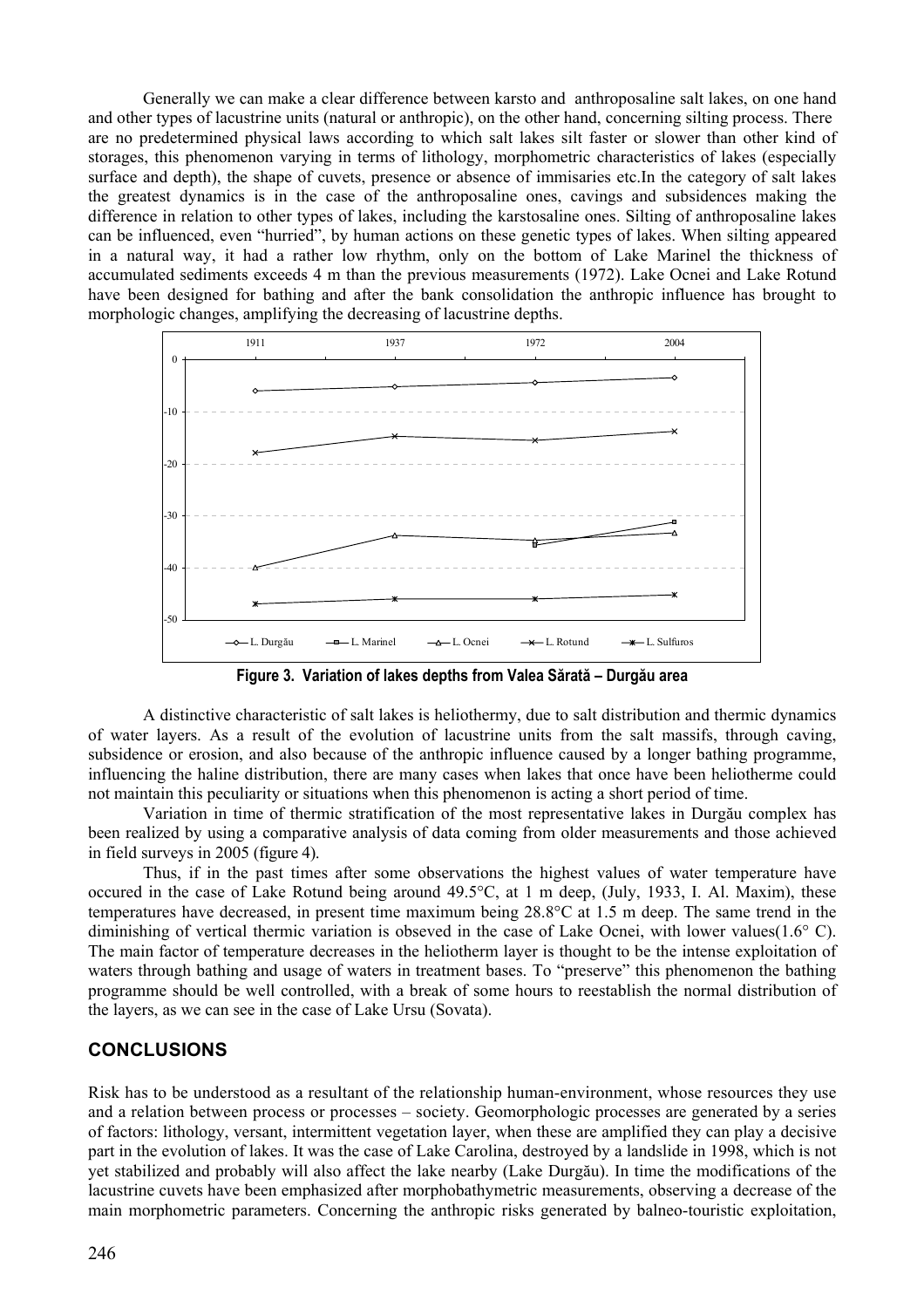Generally we can make a clear difference between karsto and anthroposaline salt lakes, on one hand and other types of lacustrine units (natural or anthropic), on the other hand, concerning silting process. There are no predetermined physical laws according to which salt lakes silt faster or slower than other kind of storages, this phenomenon varying in terms of lithology, morphometric characteristics of lakes (especially surface and depth), the shape of cuvets, presence or absence of immisaries etc.In the category of salt lakes the greatest dynamics is in the case of the anthroposaline ones, cavings and subsidences making the difference in relation to other types of lakes, including the karstosaline ones. Silting of anthroposaline lakes can be influenced, even "hurried", by human actions on these genetic types of lakes. When silting appeared in a natural way, it had a rather low rhythm, only on the bottom of Lake Marinel the thickness of accumulated sediments exceeds 4 m than the previous measurements (1972). Lake Ocnei and Lake Rotund have been designed for bathing and after the bank consolidation the anthropic influence has brought to morphologic changes, amplifying the decreasing of lacustrine depths.



**Figure 3. Variation of lakes depths from Valea Sărată – Durgău area** 

 A distinctive characteristic of salt lakes is heliothermy, due to salt distribution and thermic dynamics of water layers. As a result of the evolution of lacustrine units from the salt massifs, through caving, subsidence or erosion, and also because of the anthropic influence caused by a longer bathing programme, influencing the haline distribution, there are many cases when lakes that once have been heliotherme could not maintain this peculiarity or situations when this phenomenon is acting a short period of time.

 Variation in time of thermic stratification of the most representative lakes in Durgău complex has been realized by using a comparative analysis of data coming from older measurements and those achieved in field surveys in 2005 (figure 4).

Thus, if in the past times after some observations the highest values of water temperature have occured in the case of Lake Rotund being around 49.5°C, at 1 m deep, (July, 1933, I. Al. Maxim), these temperatures have decreased, in present time maximum being 28.8°C at 1.5 m deep. The same trend in the diminishing of vertical thermic variation is obseved in the case of Lake Ocnei, with lower values(1.6° C). The main factor of temperature decreases in the heliotherm layer is thought to be the intense exploitation of waters through bathing and usage of waters in treatment bases. To "preserve" this phenomenon the bathing programme should be well controlled, with a break of some hours to reestablish the normal distribution of the layers, as we can see in the case of Lake Ursu (Sovata).

## **CONCLUSIONS**

Risk has to be understood as a resultant of the relationship human-environment, whose resources they use and a relation between process or processes – society. Geomorphologic processes are generated by a series of factors: lithology, versant, intermittent vegetation layer, when these are amplified they can play a decisive part in the evolution of lakes. It was the case of Lake Carolina, destroyed by a landslide in 1998, which is not yet stabilized and probably will also affect the lake nearby (Lake Durgău). In time the modifications of the lacustrine cuvets have been emphasized after morphobathymetric measurements, observing a decrease of the main morphometric parameters. Concerning the anthropic risks generated by balneo-touristic exploitation,